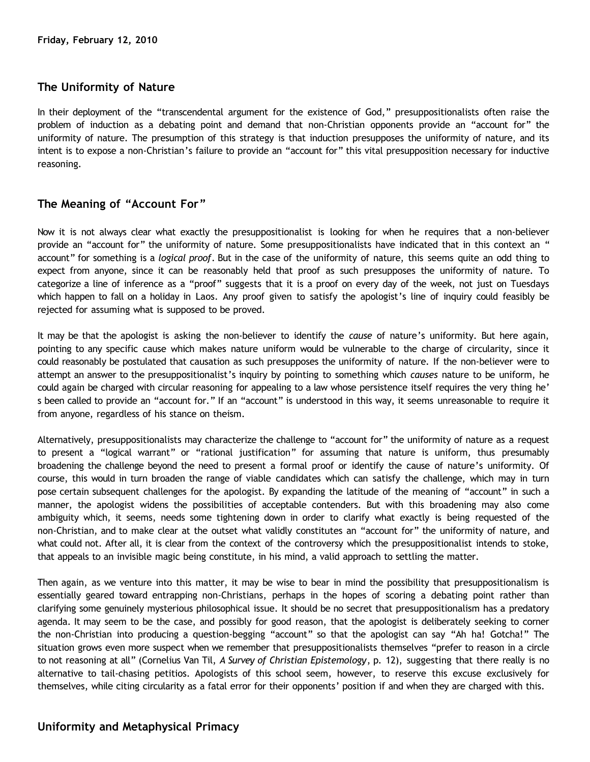## **The Uniformity of Nature**

In their deployment of the "transcendental argument for the existence of God," presuppositionalists often raise the problem of induction as a debating point and demand that non-Christian opponents provide an "account for" the uniformity of nature. The presumption of this strategy is that induction presupposes the uniformity of nature, and its intent is to expose a non-Christian's failure to provide an "account for" this vital presupposition necessary for inductive reasoning.

## **The Meaning of "Account For"**

Now it is not always clear what exactly the presuppositionalist is looking for when he requires that a non-believer provide an "account for" the uniformity of nature. Some presuppositionalists have indicated that in this context an " account" for something is a *logical proof*. But in the case of the uniformity of nature, this seems quite an odd thing to expect from anyone, since it can be reasonably held that proof as such presupposes the uniformity of nature. To categorize a line of inference as a "proof" suggests that it is a proof on every day of the week, not just on Tuesdays which happen to fall on a holiday in Laos. Any proof given to satisfy the apologist's line of inquiry could feasibly be rejected for assuming what is supposed to be proved.

It may be that the apologist is asking the non-believer to identify the *cause* of nature's uniformity. But here again, pointing to any specific cause which makes nature uniform would be vulnerable to the charge of circularity, since it could reasonably be postulated that causation as such presupposes the uniformity of nature. If the non-believer were to attempt an answer to the presuppositionalist's inquiry by pointing to something which *causes* nature to be uniform, he could again be charged with circular reasoning for appealing to a law whose persistence itself requires the very thing he' s been called to provide an "account for." If an "account" is understood in this way, it seems unreasonable to require it from anyone, regardless of his stance on theism.

Alternatively, presuppositionalists may characterize the challenge to "account for" the uniformity of nature as a request to present a "logical warrant" or "rational justification" for assuming that nature is uniform, thus presumably broadening the challenge beyond the need to present a formal proof or identify the cause of nature's uniformity. Of course, this would in turn broaden the range of viable candidates which can satisfy the challenge, which may in turn pose certain subsequent challenges for the apologist. By expanding the latitude of the meaning of "account" in such a manner, the apologist widens the possibilities of acceptable contenders. But with this broadening may also come ambiguity which, it seems, needs some tightening down in order to clarify what exactly is being requested of the non-Christian, and to make clear at the outset what validly constitutes an "account for" the uniformity of nature, and what could not. After all, it is clear from the context of the controversy which the presuppositionalist intends to stoke, that appeals to an invisible magic being constitute, in his mind, a valid approach to settling the matter.

Then again, as we venture into this matter, it may be wise to bear in mind the possibility that presuppositionalism is essentially geared toward entrapping non-Christians, perhaps in the hopes of scoring a debating point rather than clarifying some genuinely mysterious philosophical issue. It should be no secret that presuppositionalism has a predatory agenda. It may seem to be the case, and possibly for good reason, that the apologist is deliberately seeking to corner the non-Christian into producing a question-begging "account" so that the apologist can say "Ah ha! Gotcha!" The situation grows even more suspect when we remember that presuppositionalists themselves "prefer to reason in a circle to not reasoning at all" (Cornelius Van Til, *A Survey of Christian Epistemology*, p. 12), suggesting that there really is no alternative to tail-chasing petitios. Apologists of this school seem, however, to reserve this excuse exclusively for themselves, while citing circularity as a fatal error for their opponents' position if and when they are charged with this.

# **Uniformity and Metaphysical Primacy**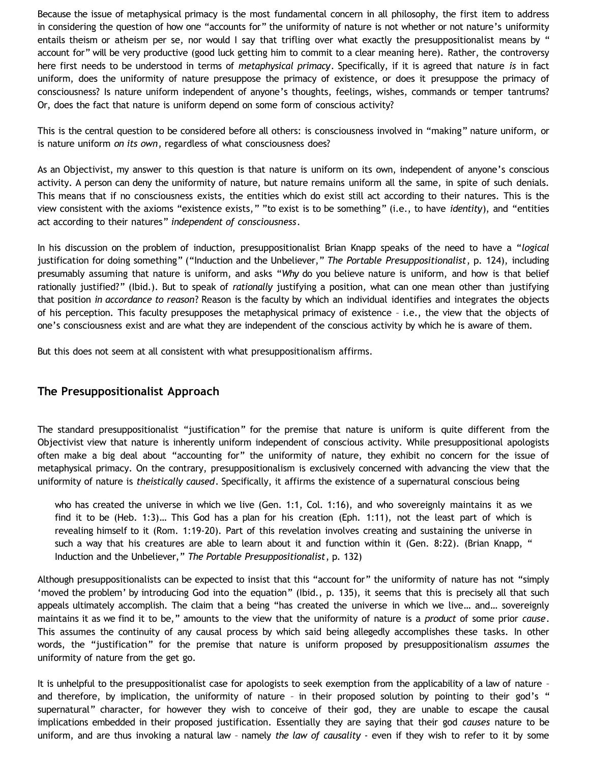Because the issue of metaphysical primacy is the most fundamental concern in all philosophy, the first item to address in considering the question of how one "accounts for" the uniformity of nature is not whether or not nature's uniformity entails theism or atheism per se, nor would I say that trifling over what exactly the presuppositionalist means by " account for" will be very productive (good luck getting him to commit to a clear meaning here). Rather, the controversy here first needs to be understood in terms of *metaphysical primacy*. Specifically, if it is agreed that nature *is* in fact uniform, does the uniformity of nature presuppose the primacy of existence, or does it presuppose the primacy of consciousness? Is nature uniform independent of anyone's thoughts, feelings, wishes, commands or temper tantrums? Or, does the fact that nature is uniform depend on some form of conscious activity?

This is the central question to be considered before all others: is consciousness involved in "making" nature uniform, or is nature uniform *on its own*, regardless of what consciousness does?

As an Objectivist, my answer to this question is that nature is uniform on its own, independent of anyone's conscious activity. A person can deny the uniformity of nature, but nature remains uniform all the same, in spite of such denials. This means that if no consciousness exists, the entities which do exist still act according to their natures. This is the view consistent with the axioms "existence exists," "to exist is to be something" (i.e., to have *identity*), and "entities act according to their natures" *independent of consciousness*.

In his discussion on the problem of induction, presuppositionalist Brian Knapp speaks of the need to have a "*logical* justification for doing something" ("Induction and the Unbeliever," *The Portable Presuppositionalist*, p. 124), including presumably assuming that nature is uniform, and asks "*Why* do you believe nature is uniform, and how is that belief rationally justified?" (Ibid.). But to speak of *rationally* justifying a position, what can one mean other than justifying that position *in accordance to reason*? Reason is the faculty by which an individual identifies and integrates the objects of his perception. This faculty presupposes the metaphysical primacy of existence – i.e., the view that the objects of one's consciousness exist and are what they are independent of the conscious activity by which he is aware of them.

But this does not seem at all consistent with what presuppositionalism affirms.

# **The Presuppositionalist Approach**

The standard presuppositionalist "justification" for the premise that nature is uniform is quite different from the Objectivist view that nature is inherently uniform independent of conscious activity. While presuppositional apologists often make a big deal about "accounting for" the uniformity of nature, they exhibit no concern for the issue of metaphysical primacy. On the contrary, presuppositionalism is exclusively concerned with advancing the view that the uniformity of nature is *theistically caused*. Specifically, it affirms the existence of a supernatural conscious being

who has created the universe in which we live (Gen. 1:1, Col. 1:16), and who sovereignly maintains it as we find it to be (Heb. 1:3)… This God has a plan for his creation (Eph. 1:11), not the least part of which is revealing himself to it (Rom. 1:19-20). Part of this revelation involves creating and sustaining the universe in such a way that his creatures are able to learn about it and function within it (Gen. 8:22). (Brian Knapp, " Induction and the Unbeliever," *The Portable Presuppositionalist*, p. 132)

Although presuppositionalists can be expected to insist that this "account for" the uniformity of nature has not "simply 'moved the problem' by introducing God into the equation" (Ibid., p. 135), it seems that this is precisely all that such appeals ultimately accomplish. The claim that a being "has created the universe in which we live… and… sovereignly maintains it as we find it to be," amounts to the view that the uniformity of nature is a *product* of some prior *cause*. This assumes the continuity of any causal process by which said being allegedly accomplishes these tasks. In other words, the "justification" for the premise that nature is uniform proposed by presuppositionalism *assumes* the uniformity of nature from the get go.

It is unhelpful to the presuppositionalist case for apologists to seek exemption from the applicability of a law of nature and therefore, by implication, the uniformity of nature – in their proposed solution by pointing to their god's " supernatural" character, for however they wish to conceive of their god, they are unable to escape the causal implications embedded in their proposed justification. Essentially they are saying that their god *causes* nature to be uniform, and are thus invoking a natural law – namely *the law of causality* - even if they wish to refer to it by some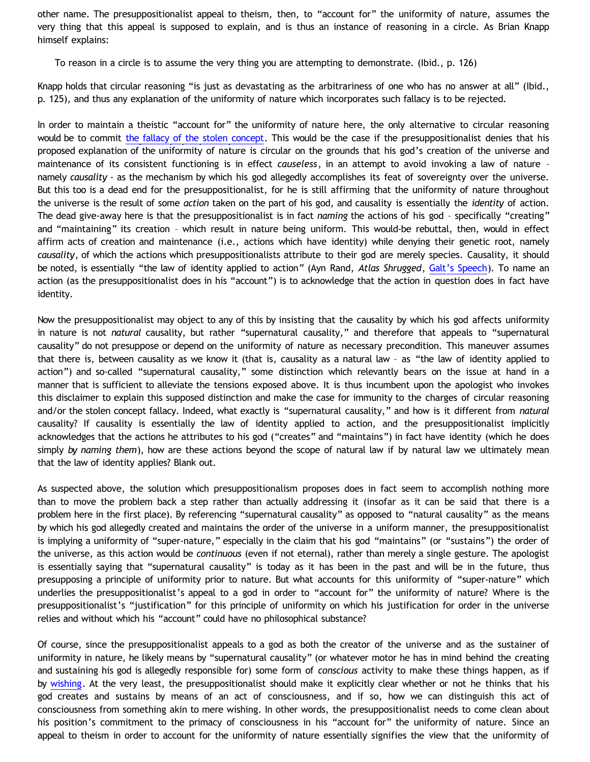other name. The presuppositionalist appeal to theism, then, to "account for" the uniformity of nature, assumes the very thing that this appeal is supposed to explain, and is thus an instance of reasoning in a circle. As Brian Knapp himself explains:

To reason in a circle is to assume the very thing you are attempting to demonstrate. (Ibid., p. 126)

Knapp holds that circular reasoning "is just as devastating as the arbitrariness of one who has no answer at all" (Ibid., p. 125), and thus any explanation of the uniformity of nature which incorporates such fallacy is to be rejected.

In order to maintain a theistic "account for" the uniformity of nature here, the only alternative to circular reasoning would be to commit [the fallacy of the stolen concept](http://bahnsenburner.blogspot.com/2008/06/stolen-concepts-and-intellectual.html). This would be the case if the presuppositionalist denies that his proposed explanation of the uniformity of nature is circular on the grounds that his god's creation of the universe and maintenance of its consistent functioning is in effect *causeless*, in an attempt to avoid invoking a law of nature – namely *causality* - as the mechanism by which his god allegedly accomplishes its feat of sovereignty over the universe. But this too is a dead end for the presuppositionalist, for he is still affirming that the uniformity of nature throughout the universe is the result of some *action* taken on the part of his god, and causality is essentially the *identity* of action. The dead give-away here is that the presuppositionalist is in fact *naming* the actions of his god – specifically "creating" and "maintaining" its creation – which result in nature being uniform. This would-be rebuttal, then, would in effect affirm acts of creation and maintenance (i.e., actions which have identity) while denying their genetic root, namely *causality*, of which the actions which presuppositionalists attribute to their god are merely species. Causality, it should be noted, is essentially "the law of identity applied to action" (Ayn Rand, *Atlas Shrugged*, [Galt's Speech](http://jvwisdom.com/jv/joint-venture-videos/john-galt-speech.html)). To name an action (as the presuppositionalist does in his "account") is to acknowledge that the action in question does in fact have identity.

Now the presuppositionalist may object to any of this by insisting that the causality by which his god affects uniformity in nature is not *natural* causality, but rather "supernatural causality," and therefore that appeals to "supernatural causality" do not presuppose or depend on the uniformity of nature as necessary precondition. This maneuver assumes that there is, between causality as we know it (that is, causality as a natural law – as "the law of identity applied to action") and so-called "supernatural causality," some distinction which relevantly bears on the issue at hand in a manner that is sufficient to alleviate the tensions exposed above. It is thus incumbent upon the apologist who invokes this disclaimer to explain this supposed distinction and make the case for immunity to the charges of circular reasoning and/or the stolen concept fallacy. Indeed, what exactly is "supernatural causality," and how is it different from *natural* causality? If causality is essentially the law of identity applied to action, and the presuppositionalist implicitly acknowledges that the actions he attributes to his god ("creates" and "maintains") in fact have identity (which he does simply *by naming them*), how are these actions beyond the scope of natural law if by natural law we ultimately mean that the law of identity applies? Blank out.

As suspected above, the solution which presuppositionalism proposes does in fact seem to accomplish nothing more than to move the problem back a step rather than actually addressing it (insofar as it can be said that there is a problem here in the first place). By referencing "supernatural causality" as opposed to "natural causality" as the means by which his god allegedly created and maintains the order of the universe in a uniform manner, the presuppositionalist is implying a uniformity of "super-nature," especially in the claim that his god "maintains" (or "sustains") the order of the universe, as this action would be *continuous* (even if not eternal), rather than merely a single gesture. The apologist is essentially saying that "supernatural causality" is today as it has been in the past and will be in the future, thus presupposing a principle of uniformity prior to nature. But what accounts for this uniformity of "super-nature" which underlies the presuppositionalist's appeal to a god in order to "account for" the uniformity of nature? Where is the presuppositionalist's "justification" for this principle of uniformity on which his justification for order in the universe relies and without which his "account" could have no philosophical substance?

Of course, since the presuppositionalist appeals to a god as both the creator of the universe and as the sustainer of uniformity in nature, he likely means by "supernatural causality" (or whatever motor he has in mind behind the creating and sustaining his god is allegedly responsible for) some form of *conscious* activity to make these things happen, as if by [wishing.](http://bahnsenburner.blogspot.com/2006/12/wishing-and-christian-deity.html) At the very least, the presuppositionalist should make it explicitly clear whether or not he thinks that his god creates and sustains by means of an act of consciousness, and if so, how we can distinguish this act of consciousness from something akin to mere wishing. In other words, the presuppositionalist needs to come clean about his position's commitment to the primacy of consciousness in his "account for" the uniformity of nature. Since an appeal to theism in order to account for the uniformity of nature essentially signifies the view that the uniformity of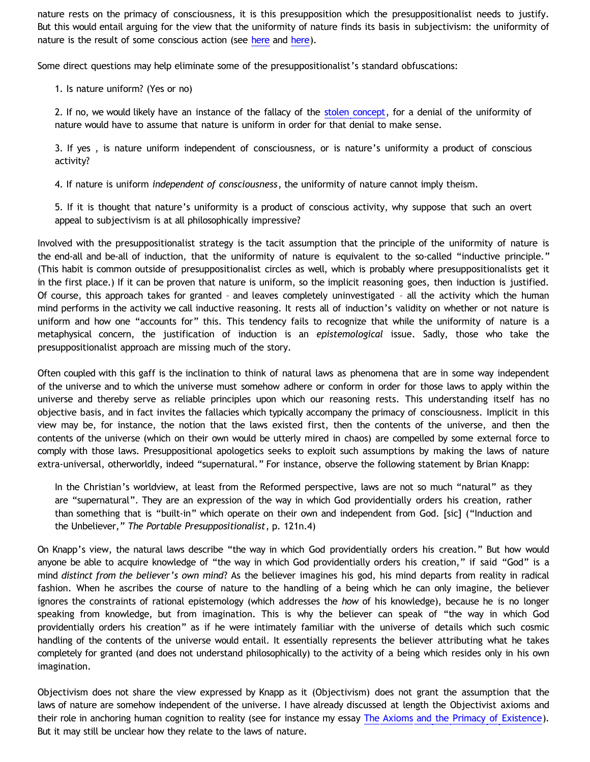nature rests on the primacy of consciousness, it is this presupposition which the presuppositionalist needs to justify. But this would entail arguing for the view that the uniformity of nature finds its basis in subjectivism: the uniformity of nature is the result of some conscious action (see [here](http://bahnsenburner.blogspot.com/2008/12/inherent-subjectivism-of-god-belief.html) and [here\)](http://bahnsenburner.blogspot.com/2010/02/how-theism-violates-primacy-of.html).

Some direct questions may help eliminate some of the presuppositionalist's standard obfuscations:

1. Is nature uniform? (Yes or no)

2. If no, we would likely have an instance of the fallacy of the [stolen concept](http://bahnsenburner.blogspot.com/2008/06/stolen-concepts-and-intellectual.html), for a denial of the uniformity of nature would have to assume that nature is uniform in order for that denial to make sense.

3. If yes , is nature uniform independent of consciousness, or is nature's uniformity a product of conscious activity?

4. If nature is uniform *independent of consciousness*, the uniformity of nature cannot imply theism.

5. If it is thought that nature's uniformity is a product of conscious activity, why suppose that such an overt appeal to subjectivism is at all philosophically impressive?

Involved with the presuppositionalist strategy is the tacit assumption that the principle of the uniformity of nature is the end-all and be-all of induction, that the uniformity of nature is equivalent to the so-called "inductive principle." (This habit is common outside of presuppositionalist circles as well, which is probably where presuppositionalists get it in the first place.) If it can be proven that nature is uniform, so the implicit reasoning goes, then induction is justified. Of course, this approach takes for granted – and leaves completely uninvestigated – all the activity which the human mind performs in the activity we call inductive reasoning. It rests all of induction's validity on whether or not nature is uniform and how one "accounts for" this. This tendency fails to recognize that while the uniformity of nature is a metaphysical concern, the justification of induction is an *epistemological* issue. Sadly, those who take the presuppositionalist approach are missing much of the story.

Often coupled with this gaff is the inclination to think of natural laws as phenomena that are in some way independent of the universe and to which the universe must somehow adhere or conform in order for those laws to apply within the universe and thereby serve as reliable principles upon which our reasoning rests. This understanding itself has no objective basis, and in fact invites the fallacies which typically accompany the primacy of consciousness. Implicit in this view may be, for instance, the notion that the laws existed first, then the contents of the universe, and then the contents of the universe (which on their own would be utterly mired in chaos) are compelled by some external force to comply with those laws. Presuppositional apologetics seeks to exploit such assumptions by making the laws of nature extra-universal, otherworldly, indeed "supernatural." For instance, observe the following statement by Brian Knapp:

In the Christian's worldview, at least from the Reformed perspective, laws are not so much "natural" as they are "supernatural". They are an expression of the way in which God providentially orders his creation, rather than something that is "built-in" which operate on their own and independent from God. [sic] ("Induction and the Unbeliever," *The Portable Presuppositionalist*, p. 121n.4)

On Knapp's view, the natural laws describe "the way in which God providentially orders his creation." But how would anyone be able to acquire knowledge of "the way in which God providentially orders his creation," if said "God" is a mind *distinct from the believer's own mind*? As the believer imagines his god, his mind departs from reality in radical fashion. When he ascribes the course of nature to the handling of a being which he can only imagine, the believer ignores the constraints of rational epistemology (which addresses the *how* of his knowledge), because he is no longer speaking from knowledge, but from imagination. This is why the believer can speak of "the way in which God providentially orders his creation" as if he were intimately familiar with the universe of details which such cosmic handling of the contents of the universe would entail. It essentially represents the believer attributing what he takes completely for granted (and does not understand philosophically) to the activity of a being which resides only in his own imagination.

Objectivism does not share the view expressed by Knapp as it (Objectivism) does not grant the assumption that the laws of nature are somehow independent of the universe. I have already discussed at length the Objectivist axioms and their role in anchoring human cognition to reality (see for instance my essay [The Axioms and the Primacy of Existence](http://katholon.com/AxiomsPOE.htm)). But it may still be unclear how they relate to the laws of nature.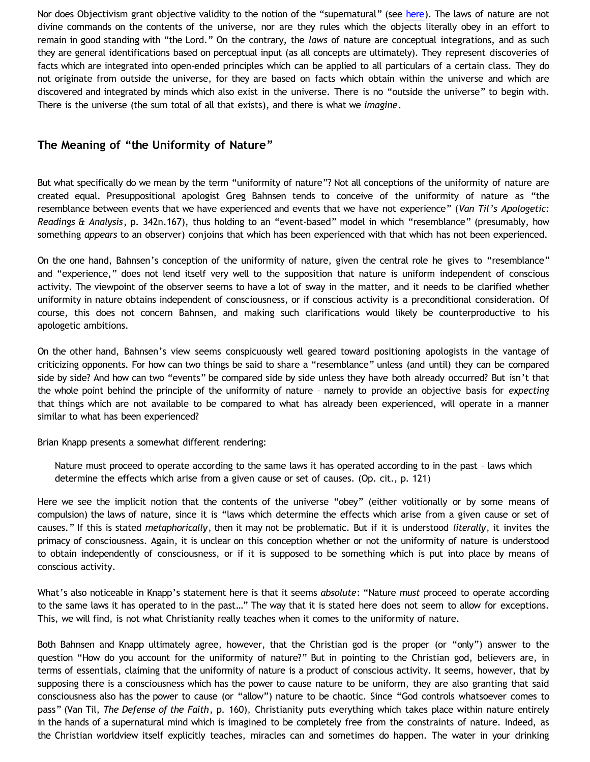Nor does Objectivism grant objective validity to the notion of the "supernatural" (see [here](http://www.katholon.com/Bahnsen_Supernatural.htm)). The laws of nature are not divine commands on the contents of the universe, nor are they rules which the objects literally obey in an effort to remain in good standing with "the Lord." On the contrary, the *laws* of nature are conceptual integrations, and as such they are general identifications based on perceptual input (as all concepts are ultimately). They represent discoveries of facts which are integrated into open-ended principles which can be applied to all particulars of a certain class. They do not originate from outside the universe, for they are based on facts which obtain within the universe and which are discovered and integrated by minds which also exist in the universe. There is no "outside the universe" to begin with. There is the universe (the sum total of all that exists), and there is what we *imagine*.

## **The Meaning of "the Uniformity of Nature"**

But what specifically do we mean by the term "uniformity of nature"? Not all conceptions of the uniformity of nature are created equal. Presuppositional apologist Greg Bahnsen tends to conceive of the uniformity of nature as "the resemblance between events that we have experienced and events that we have not experience" (*Van Til's Apologetic: Readings & Analysis*, p. 342n.167), thus holding to an "event-based" model in which "resemblance" (presumably, how something *appears* to an observer) conjoins that which has been experienced with that which has not been experienced.

On the one hand, Bahnsen's conception of the uniformity of nature, given the central role he gives to "resemblance" and "experience," does not lend itself very well to the supposition that nature is uniform independent of conscious activity. The viewpoint of the observer seems to have a lot of sway in the matter, and it needs to be clarified whether uniformity in nature obtains independent of consciousness, or if conscious activity is a preconditional consideration. Of course, this does not concern Bahnsen, and making such clarifications would likely be counterproductive to his apologetic ambitions.

On the other hand, Bahnsen's view seems conspicuously well geared toward positioning apologists in the vantage of criticizing opponents. For how can two things be said to share a "resemblance" unless (and until) they can be compared side by side? And how can two "events" be compared side by side unless they have both already occurred? But isn't that the whole point behind the principle of the uniformity of nature – namely to provide an objective basis for *expecting* that things which are not available to be compared to what has already been experienced, will operate in a manner similar to what has been experienced?

Brian Knapp presents a somewhat different rendering:

Nature must proceed to operate according to the same laws it has operated according to in the past – laws which determine the effects which arise from a given cause or set of causes. (Op. cit., p. 121)

Here we see the implicit notion that the contents of the universe "obey" (either volitionally or by some means of compulsion) the laws of nature, since it is "laws which determine the effects which arise from a given cause or set of causes." If this is stated *metaphorically*, then it may not be problematic. But if it is understood *literally*, it invites the primacy of consciousness. Again, it is unclear on this conception whether or not the uniformity of nature is understood to obtain independently of consciousness, or if it is supposed to be something which is put into place by means of conscious activity.

What's also noticeable in Knapp's statement here is that it seems *absolute*: "Nature *must* proceed to operate according to the same laws it has operated to in the past…" The way that it is stated here does not seem to allow for exceptions. This, we will find, is not what Christianity really teaches when it comes to the uniformity of nature.

Both Bahnsen and Knapp ultimately agree, however, that the Christian god is the proper (or "only") answer to the question "How do you account for the uniformity of nature?" But in pointing to the Christian god, believers are, in terms of essentials, claiming that the uniformity of nature is a product of conscious activity. It seems, however, that by supposing there is a consciousness which has the power to cause nature to be uniform, they are also granting that said consciousness also has the power to cause (or "allow") nature to be chaotic. Since "God controls whatsoever comes to pass" (Van Til, *The Defense of the Faith*, p. 160), Christianity puts everything which takes place within nature entirely in the hands of a supernatural mind which is imagined to be completely free from the constraints of nature. Indeed, as the Christian worldview itself explicitly teaches, miracles can and sometimes do happen. The water in your drinking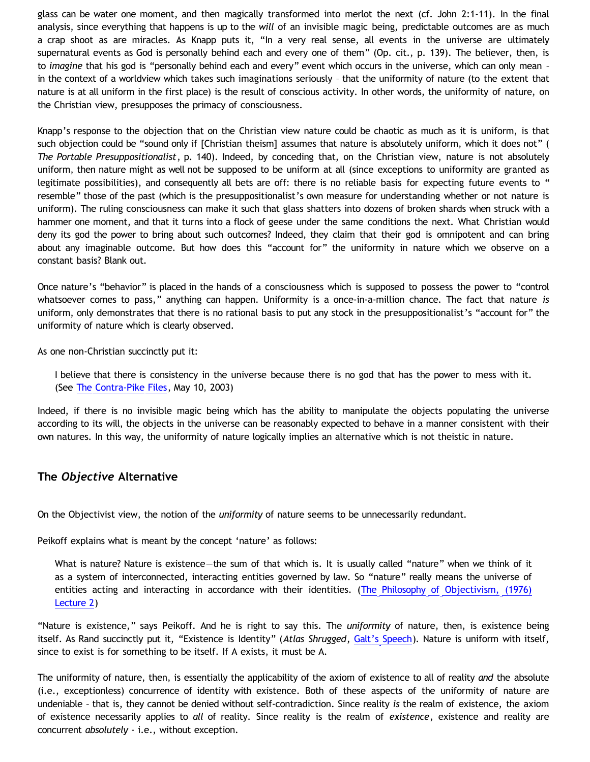glass can be water one moment, and then magically transformed into merlot the next (cf. John 2:1-11). In the final analysis, since everything that happens is up to the *will* of an invisible magic being, predictable outcomes are as much a crap shoot as are miracles. As Knapp puts it, "In a very real sense, all events in the universe are ultimately supernatural events as God is personally behind each and every one of them" (Op. cit., p. 139). The believer, then, is to *imagine* that his god is "personally behind each and every" event which occurs in the universe, which can only mean – in the context of a worldview which takes such imaginations seriously – that the uniformity of nature (to the extent that nature is at all uniform in the first place) is the result of conscious activity. In other words, the uniformity of nature, on the Christian view, presupposes the primacy of consciousness.

Knapp's response to the objection that on the Christian view nature could be chaotic as much as it is uniform, is that such objection could be "sound only if [Christian theism] assumes that nature is absolutely uniform, which it does not" ( *The Portable Presuppositionalist*, p. 140). Indeed, by conceding that, on the Christian view, nature is not absolutely uniform, then nature might as well not be supposed to be uniform at all (since exceptions to uniformity are granted as legitimate possibilities), and consequently all bets are off: there is no reliable basis for expecting future events to " resemble" those of the past (which is the presuppositionalist's own measure for understanding whether or not nature is uniform). The ruling consciousness can make it such that glass shatters into dozens of broken shards when struck with a hammer one moment, and that it turns into a flock of geese under the same conditions the next. What Christian would deny its god the power to bring about such outcomes? Indeed, they claim that their god is omnipotent and can bring about any imaginable outcome. But how does this "account for" the uniformity in nature which we observe on a constant basis? Blank out.

Once nature's "behavior" is placed in the hands of a consciousness which is supposed to possess the power to "control whatsoever comes to pass," anything can happen. Uniformity is a once-in-a-million chance. The fact that nature *is* uniform, only demonstrates that there is no rational basis to put any stock in the presuppositionalist's "account for" the uniformity of nature which is clearly observed.

As one non-Christian succinctly put it:

I believe that there is consistency in the universe because there is no god that has the power to mess with it. (See [The Contra-Pike Files](http://www.katholon.com/Contra_Pike.pdf), May 10, 2003)

Indeed, if there is no invisible magic being which has the ability to manipulate the objects populating the universe according to its will, the objects in the universe can be reasonably expected to behave in a manner consistent with their own natures. In this way, the uniformity of nature logically implies an alternative which is not theistic in nature.

### **The** *Objective* **Alternative**

On the Objectivist view, the notion of the *uniformity* of nature seems to be unnecessarily redundant.

Peikoff explains what is meant by the concept 'nature' as follows:

What is nature? Nature is existence—the sum of that which is. It is usually called "nature" when we think of it as a system of interconnected, interacting entities governed by law. So "nature" really means the universe of entities acting and interacting in accordance with their identities. ([The Philosophy of Objectivism, \(1976\)](http://aynrandlexicon.com/lexicon/nature.html) [Lecture 2](http://aynrandlexicon.com/lexicon/nature.html))

"Nature is existence," says Peikoff. And he is right to say this. The *uniformity* of nature, then, is existence being itself. As Rand succinctly put it, "Existence is Identity" (*Atlas Shrugged*, [Galt's Speech](http://jvwisdom.com/jv/joint-venture-videos/john-galt-speech.html)). Nature is uniform with itself, since to exist is for something to be itself. If A exists, it must be A.

The uniformity of nature, then, is essentially the applicability of the axiom of existence to all of reality *and* the absolute (i.e., exceptionless) concurrence of identity with existence. Both of these aspects of the uniformity of nature are undeniable – that is, they cannot be denied without self-contradiction. Since reality *is* the realm of existence, the axiom of existence necessarily applies to *all* of reality. Since reality is the realm of *existence*, existence and reality are concurrent *absolutely* - i.e., without exception.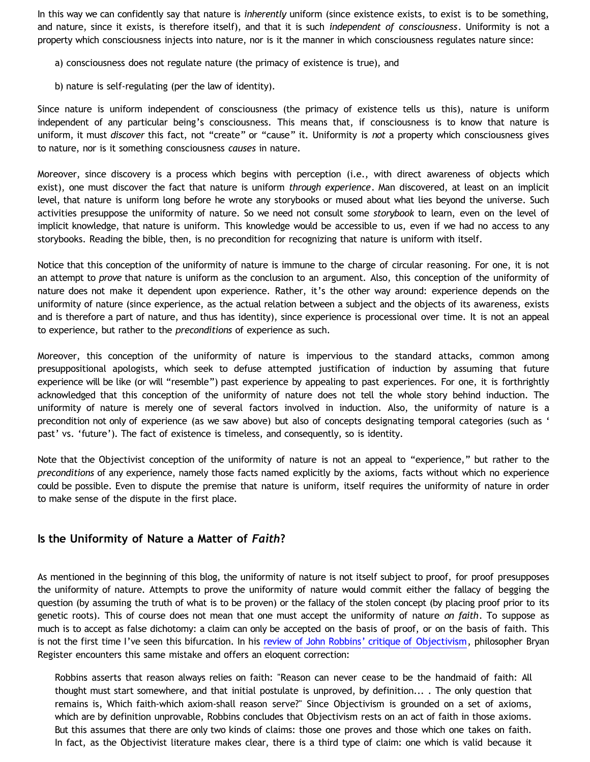In this way we can confidently say that nature is *inherently* uniform (since existence exists, to exist is to be something, and nature, since it exists, is therefore itself), and that it is such *independent of consciousness*. Uniformity is not a property which consciousness injects into nature, nor is it the manner in which consciousness regulates nature since:

- a) consciousness does not regulate nature (the primacy of existence is true), and
- b) nature is self-regulating (per the law of identity).

Since nature is uniform independent of consciousness (the primacy of existence tells us this), nature is uniform independent of any particular being's consciousness. This means that, if consciousness is to know that nature is uniform, it must *discover* this fact, not "create" or "cause" it. Uniformity is *not* a property which consciousness gives to nature, nor is it something consciousness *causes* in nature.

Moreover, since discovery is a process which begins with perception (i.e., with direct awareness of objects which exist), one must discover the fact that nature is uniform *through experience*. Man discovered, at least on an implicit level, that nature is uniform long before he wrote any storybooks or mused about what lies beyond the universe. Such activities presuppose the uniformity of nature. So we need not consult some *storybook* to learn, even on the level of implicit knowledge, that nature is uniform. This knowledge would be accessible to us, even if we had no access to any storybooks. Reading the bible, then, is no precondition for recognizing that nature is uniform with itself.

Notice that this conception of the uniformity of nature is immune to the charge of circular reasoning. For one, it is not an attempt to *prove* that nature is uniform as the conclusion to an argument. Also, this conception of the uniformity of nature does not make it dependent upon experience. Rather, it's the other way around: experience depends on the uniformity of nature (since experience, as the actual relation between a subject and the objects of its awareness, exists and is therefore a part of nature, and thus has identity), since experience is processional over time. It is not an appeal to experience, but rather to the *preconditions* of experience as such.

Moreover, this conception of the uniformity of nature is impervious to the standard attacks, common among presuppositional apologists, which seek to defuse attempted justification of induction by assuming that future experience will be like (or will "resemble") past experience by appealing to past experiences. For one, it is forthrightly acknowledged that this conception of the uniformity of nature does not tell the whole story behind induction. The uniformity of nature is merely one of several factors involved in induction. Also, the uniformity of nature is a precondition not only of experience (as we saw above) but also of concepts designating temporal categories (such as ' past' vs. 'future'). The fact of existence is timeless, and consequently, so is identity.

Note that the Objectivist conception of the uniformity of nature is not an appeal to "experience," but rather to the *preconditions* of any experience, namely those facts named explicitly by the axioms, facts without which no experience could be possible. Even to dispute the premise that nature is uniform, itself requires the uniformity of nature in order to make sense of the dispute in the first place.

### **Is the Uniformity of Nature a Matter of** *Faith***?**

As mentioned in the beginning of this blog, the uniformity of nature is not itself subject to proof, for proof presupposes the uniformity of nature. Attempts to prove the uniformity of nature would commit either the fallacy of begging the question (by assuming the truth of what is to be proven) or the fallacy of the stolen concept (by placing proof prior to its genetic roots). This of course does not mean that one must accept the uniformity of nature *on faith*. To suppose as much is to accept as false dichotomy: a claim can only be accepted on the basis of proof, or on the basis of faith. This is not the first time I've seen this bifurcation. In his [review of John Robbins' critique of Objectivism](http://www.objectivistcenter.org/cth--71-Has_Objectivism_Been_Refuted.aspx), philosopher Bryan Register encounters this same mistake and offers an eloquent correction:

Robbins asserts that reason always relies on faith: "Reason can never cease to be the handmaid of faith: All thought must start somewhere, and that initial postulate is unproved, by definition... . The only question that remains is, Which faith-which axiom-shall reason serve?" Since Objectivism is grounded on a set of axioms, which are by definition unprovable, Robbins concludes that Objectivism rests on an act of faith in those axioms. But this assumes that there are only two kinds of claims: those one proves and those which one takes on faith. In fact, as the Objectivist literature makes clear, there is a third type of claim: one which is valid because it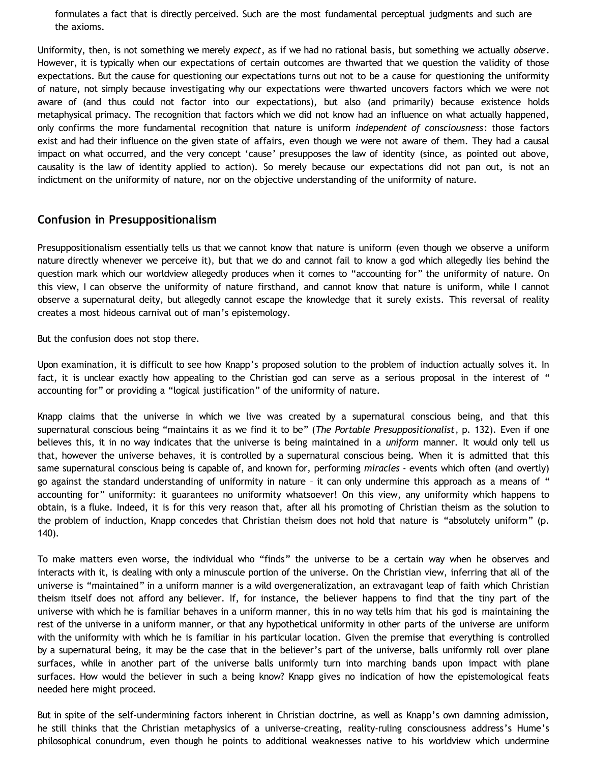formulates a fact that is directly perceived. Such are the most fundamental perceptual judgments and such are the axioms.

Uniformity, then, is not something we merely *expect*, as if we had no rational basis, but something we actually *observe*. However, it is typically when our expectations of certain outcomes are thwarted that we question the validity of those expectations. But the cause for questioning our expectations turns out not to be a cause for questioning the uniformity of nature, not simply because investigating why our expectations were thwarted uncovers factors which we were not aware of (and thus could not factor into our expectations), but also (and primarily) because existence holds metaphysical primacy. The recognition that factors which we did not know had an influence on what actually happened, only confirms the more fundamental recognition that nature is uniform *independent of consciousness*: those factors exist and had their influence on the given state of affairs, even though we were not aware of them. They had a causal impact on what occurred, and the very concept 'cause' presupposes the law of identity (since, as pointed out above, causality is the law of identity applied to action). So merely because our expectations did not pan out, is not an indictment on the uniformity of nature, nor on the objective understanding of the uniformity of nature.

### **Confusion in Presuppositionalism**

Presuppositionalism essentially tells us that we cannot know that nature is uniform (even though we observe a uniform nature directly whenever we perceive it), but that we do and cannot fail to know a god which allegedly lies behind the question mark which our worldview allegedly produces when it comes to "accounting for" the uniformity of nature. On this view, I can observe the uniformity of nature firsthand, and cannot know that nature is uniform, while I cannot observe a supernatural deity, but allegedly cannot escape the knowledge that it surely exists. This reversal of reality creates a most hideous carnival out of man's epistemology.

But the confusion does not stop there.

Upon examination, it is difficult to see how Knapp's proposed solution to the problem of induction actually solves it. In fact, it is unclear exactly how appealing to the Christian god can serve as a serious proposal in the interest of " accounting for" or providing a "logical justification" of the uniformity of nature.

Knapp claims that the universe in which we live was created by a supernatural conscious being, and that this supernatural conscious being "maintains it as we find it to be" (*The Portable Presuppositionalist*, p. 132). Even if one believes this, it in no way indicates that the universe is being maintained in a *uniform* manner. It would only tell us that, however the universe behaves, it is controlled by a supernatural conscious being. When it is admitted that this same supernatural conscious being is capable of, and known for, performing *miracles* - events which often (and overtly) go against the standard understanding of uniformity in nature – it can only undermine this approach as a means of " accounting for" uniformity: it guarantees no uniformity whatsoever! On this view, any uniformity which happens to obtain, is a fluke. Indeed, it is for this very reason that, after all his promoting of Christian theism as the solution to the problem of induction, Knapp concedes that Christian theism does not hold that nature is "absolutely uniform" (p. 140).

To make matters even worse, the individual who "finds" the universe to be a certain way when he observes and interacts with it, is dealing with only a minuscule portion of the universe. On the Christian view, inferring that all of the universe is "maintained" in a uniform manner is a wild overgeneralization, an extravagant leap of faith which Christian theism itself does not afford any believer. If, for instance, the believer happens to find that the tiny part of the universe with which he is familiar behaves in a uniform manner, this in no way tells him that his god is maintaining the rest of the universe in a uniform manner, or that any hypothetical uniformity in other parts of the universe are uniform with the uniformity with which he is familiar in his particular location. Given the premise that everything is controlled by a supernatural being, it may be the case that in the believer's part of the universe, balls uniformly roll over plane surfaces, while in another part of the universe balls uniformly turn into marching bands upon impact with plane surfaces. How would the believer in such a being know? Knapp gives no indication of how the epistemological feats needed here might proceed.

But in spite of the self-undermining factors inherent in Christian doctrine, as well as Knapp's own damning admission, he still thinks that the Christian metaphysics of a universe-creating, reality-ruling consciousness address's Hume's philosophical conundrum, even though he points to additional weaknesses native to his worldview which undermine